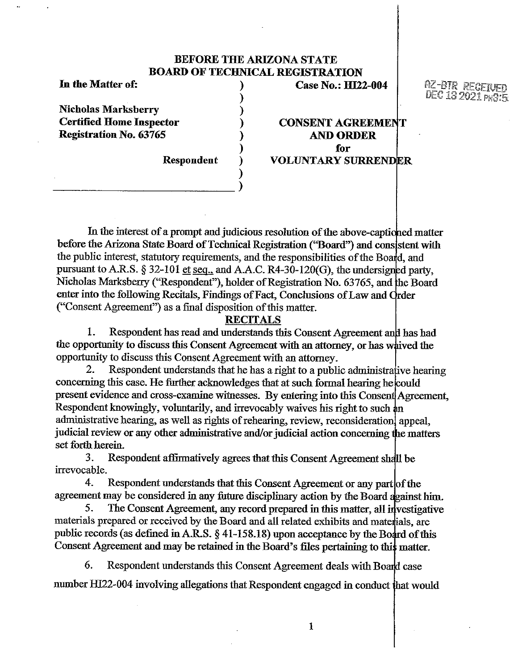# **BEFORE THE ARIZONA STATE BOARD OF TECHNICAL REGISTRATION**

)

)

**Nicholas Marksberry** ) **Registration No. 63765** ) **ANDORDER** 

 $\begin{pmatrix} 1 & 1 \\ -1 & 1 \end{pmatrix}$ 

In **the Matter of:** ) **Case No.: Ill22-004** 

 $RZ$ -btr $R$  rec DEC 13 2021

 $CONSENT AGREEMENT$ ) **for Respondent ) VOLUNTARY SURRENDER** 

Nicholas Marksberry ("Respondent"), holder of Registration No. 63765, and the Board In the interest of a prompt and judicious resolution of the above-captioned matter before the Arizona State Board of Technical Registration ("Board") and consistent with the public interest, statutory requirements, and the responsibilities of the Board, and pursuant to A.R.S. § 32-101 et seq., and A.A.C. R4-30-120(G), the undersigned party, enter into the following Recitals, Findings of Fact, Conclusions of Law and Order ("Consent Agreement") as a final disposition of this matter.

### **RECITALS**

1. Respondent has read and understands this Consent Agreement and has had the opportunity to discuss this Consent Agreement with an attorney, or has whived the opportunity to discuss this Consent Agreement with an attorney.

Respondent understands that he has a right to a public administrative hearing concerning this case. He further acknowledges that at such formal hearing he could present evidence and cross-examine witnesses. By entering into this Consent Agreement, Respondent knowingly, voluntarily, and irrevocably waives his right to such an administrative hearing, as well as rights of rehearing, review, reconsideration appeal, judicial review or any other administrative and/or judicial action concerning the matters set forth herein.

3. Respondent affirmatively agrees that this Consent Agreement sh irrevocable.

4. Respondent understands that this Consent Agreement or any part of the agreement may be considered in any future disciplinary action by the Board against him.

public records (as defined in A.R.S.  $\S$  [41-158.18](https://41-158.18)) upon acceptance by the Board of this 5. The Consent Agreement, any record prepared in this matter, all investigative materials prepared or received by the Board and all related exhibits and materials, are Consent Agreement and may be retained in the Board's files pertaining to thi

6. Respondent understands this Consent Agreement deals with Bo number HI22-004 involving allegations that Respondent engaged in conduct that would

1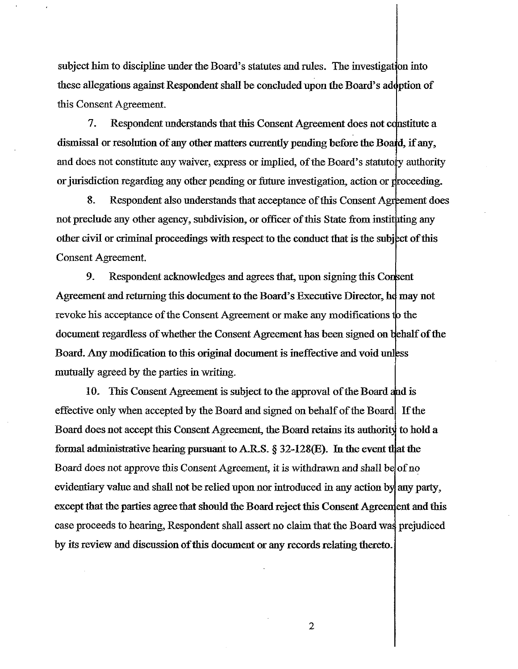subject him to discipline under the Board's statutes and rules. The investigation into these allegations against Respondent shall be concluded upon the Board's adoption of this Consent Agreement.

7. Respondent understands that this Consent Agreement does not c dismissal or resolution of any other matters currently pending before the Board, if any, and does not constitute any waiver, express or implied, of the Board's statutory authority or jurisdiction regarding any other pending or future investigation, action or proceeding.

other civil or criminal proceedings with respect to the conduct that is the subject of this Consent Agreement. 8. Respondent also understands that acceptance of this Consent Agreement does not preclude any other agency, subdivision, or officer of this State from instituting any

9. Respondent acknowledges and agrees that, upon signing this Co Agreement and returning this document to the Board's Executive Director, he may not revoke his acceptance of the Consent Agreement or make any modifications to the document regardless of whether the Consent Agreement has been signed on behalf of the Board. Any modification to this original document is ineffective and void mutually agreed by the parties in writing.

10. This Consent Agreement is subject to the approval of the Board and is effective only when accepted by the Board and signed on behalf of the Board If the Board does not accept this Consent Agreement, the Board retains its authority to hold a formal administrative hearing pursuant to A.R.S.  $\S$  32-128(E). In the event that the Board does not approve this Consent Agreement, it is withdrawn and shall be of no evidentiary value and shall not be relied upon nor introduced in any action by any party, except that the parties agree that should the Board reject this Consent Agreement and this case proceeds to hearing, Respondent shall assert no claim that the Board was prejudiced by its review and discussion of this document or any records relating thereto.

2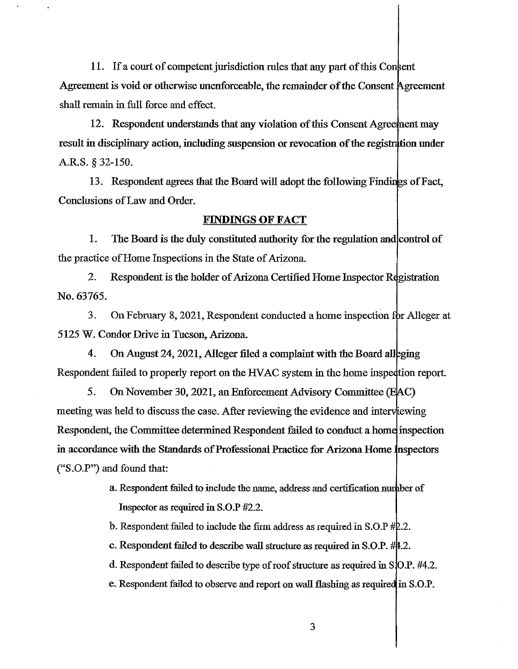11. If a court of competent jurisdiction rules that any part of this Consent Agreement is void or otherwise unenforceable, the remainder of the Consent Agreement shall remain in full force and effect.

12. Respondent understands that any violation of this Consent Agreement may result in disciplinary action, including suspension or revocation of the registration under A.R.S. § 32-150.

13. Respondent agrees that the Board will adopt the following Findings of Fact, Conclusions of Law and Order.

## **FINDINGS OF FACT**

1. The Board is the duly constituted authority for the regulation and control of the practice of Home Inspections in the State of Arizona.

2. Respondent is the holder of Arizona Certified Home Inspector Registration No. 63765.

3. On February 8, 2021, Respondent conducted a home inspection for Alleger at 5125 W. Condor Drive in Tucson, Arizona.

4. On August 24, 2021, Alleger filed a complaint with the Board alleging Respondent failed to properly report on the HVAC system in the home inspection report.

5. On November 30, 2021, an Enforcement Advisory Committee meeting was held to discuss the case. After reviewing the evidence and interviewing Respondent, the Committee determined Respondent failed to conduct a home inspection in accordance with the Standards of Professional Practice for Arizona Home Inspectors ("S.O.P") and found that:

> a. Respondent failed to include the name, address and certification n Inspector as required in S.O.P #2.2.

b. Respondent failed to include the firm address as required in S.O.P  $#2.2$ .

c. Respondent failed to describe wall structure as required in  $S.O.P.$  #44.2.

d. Respondent failed to describe type of roof structure as required in S[O.P. #4.2.

e. Respondent failed to observe and report on wall flashing as required in S.O.P.

3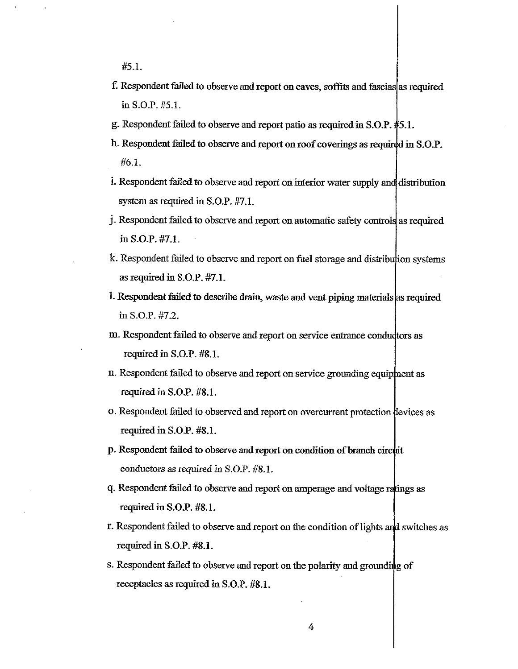#5.L

- f. Respondent failed to observe and report on caves, soffits and fascias as required in S.O.P. #5.1.
- g. Respondent failed to observe and report patio as required in S.O.P. 5.1.
- h. Respondent failed to observe and report on roof coverings as required in S.O.P. #6.1.
- i. Respondent failed to observe and report on interior water supply and distribution system as required in S.O.P. #7.1.
- j. Respondent failed to observe and report on automatic safety controls as required in S.O.P. #7.L
- k. Respondent failed to observe and report on fuel storage and distribution systems as required in S.O.P. #7.L
- I. Respondent failed to describe drain, waste and vent piping materials required in S.O.P. #7.2.
- m. Respondent failed to observe and report on service entrance condudtors as required in S.O.P. #8.1.
- n. Respondent failed to observe and report on service grounding equipment as required in S.O.P. #8.L
- o. Respondent failed to observed and report on overcurrent protection devices as required in S.O.P. #8.L
- p. Respondent failed to observe and report on condition of branch circuit conductors as required in S.O.P. #8.1.
- q. Respondent failed to observe and report on amperage and voltage ratings as required in **S.O.P. #8.L**
- r. Respondent failed to observe and report on the condition of lights and switches as :required in **S.O.P. #8.1.**
- s. Respondent failed to observe and report on the polarity and grounding of receptacles as required in S.O.P. #8.L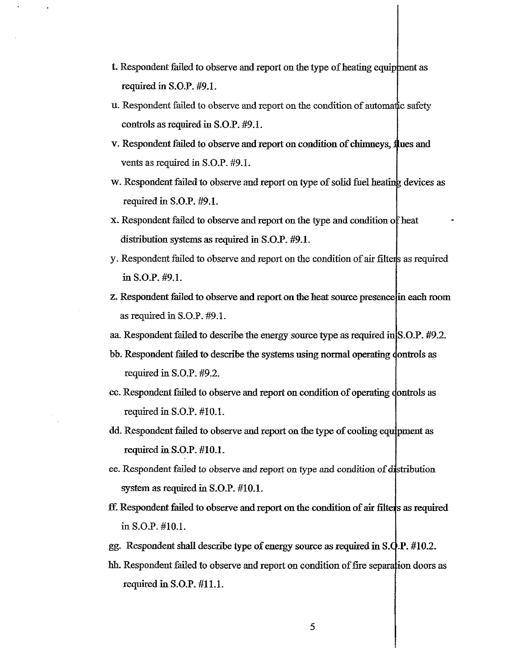- t. Respondent failed to observe and report on the type of heating equipment as required in S.O.P. #9.1.
- u. Respondent failed to observe and report on the condition of automatic safety controls as required in S.O.P.  $#9.1$ .
- v. Respondent failed to observe and report on condition of chimneys, flues and vents as required in S.O.P. #9.1.
- w. Respondent failed to observe and report on type of solid fuel heating devices as required in S.O.P. #9.1.
- x. Respondent failed to observe and report on the type and condition of heat distribution systems as required in S.O.P. #9.1.
- y. Respondent failed to observe and report on the condition of air filter is as required in S.O.P. #9.1.
- z. Respondent failed to observe and report on the heat source presence in each room as required in S.O.P. #9.1.
- aa Respondent failed to describe the energy source type as required in S.O.P. #9.2.
- bb. Respondent failed to describe the systems using normal operating dontrols as required in S.O.P. #9.2.
- cc. Respondent failed to observe and report on condition of operating dontrols as required in S.O.P. #10.1.
- dd. Respondent failed to observe and report on the type of cooling equipment as required in S.O.P. #IO.I.
- ee. Respondent failed to observe and report on type and condition of distribution system as required in S.O.P. #10.1.
- ff. Respondent failed to observe and report on the condition of air filters as required in S.O.P. #IO.I.
- gg. Respondent shall describe type of energy source as required in  $S.Q.P.$ #10.2.
- hh. Respondent failed to observe and report on condition of fire separation doors as required in S.O.P. #11.1.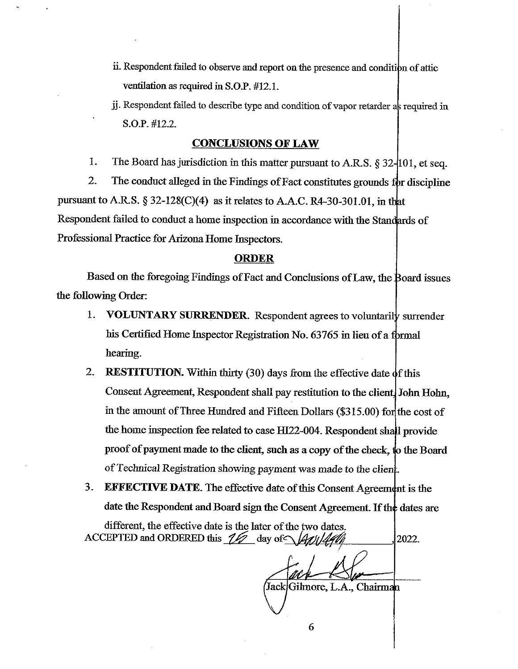- ii. Respondent failed to observe and report on the presence and condition of attic ventilation as required in **S.0.P.** #12.1.
- jj. Respondent failed to describe type and condition of vapor retarder as required in S.O.P. #12.2.

#### **CONCLUSIONS OF LAW**

1. The Board has jurisdiction in this matter pursuant to A.R.S. § 32-101, et seq.

2. The conduct alleged in the Findings of Fact constitutes grounds for discipline pursuant to A.R.S.  $\S 32-128(C)(4)$  as it relates to A.A.C. [R4-30-301.01](https://R4-30-301.01), in that Respondent failed to conduct a home inspection in accordance with the Standards of Professional Practice for Arizona Home Inspectors.

#### **ORDER**

Based on the foregoing Findings of Fact and Conclusions of Law, the Board issues the following Order:

- 1. **VOLUNTARY SURRENDER.** Respondent agrees to voluntarily surrender his Certified Home Inspector Registration No. 63765 in lieu of a formal hearing.
- 2. **RESTITUTION.** Within thirty (30) days from the effective date of this Consent Agreement, Respondent shall pay restitution to the client. John Hohn, in the amount of Three Hundred and Fifteen Dollars (\$315.00) for the cost of the home inspection fee related to case HI22-004. Respondent shall provide proof of payment made to the client, such as a copy of the check, to the Board of Technical Registration showing payment was made to the client.
- 3. **EFFECTIVE DATE**. The effective date of this Consent Agreement is the date the Respondent and Board sign the Consent Agreement. If the dates are

, different, the effective date is the later of the two dates. ACCEPTED and ORDERED this  $1/2$  day of  $\sqrt{4a}/\sqrt{44}$  , 2022.

Jack Gihnore, L.A., Chairm

6